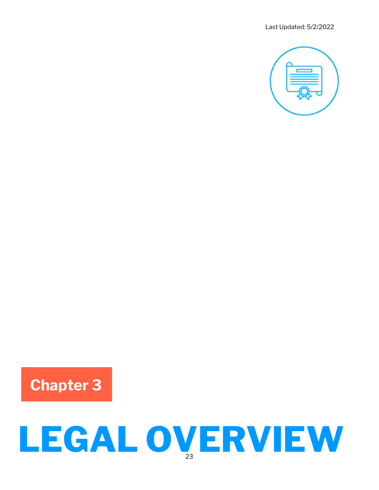

## Chapter 3

# LEGAL OVERVIEW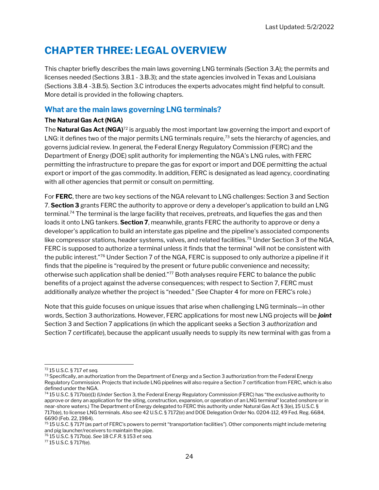### CHAPTER THREE: LEGAL OVERVIEW

This chapter briefly describes the main laws governing LNG terminals (Section 3.A); the permits and licenses needed (Sections 3.B.1 - 3.B.3); and the state agencies involved in Texas and Louisiana (Sections 3.B.4 -3.B.5). Section 3.C introduces the experts advocates might find helpful to consult. More detail is provided in the following chapters.

#### What are the main laws governing LNG terminals?

#### The Natural Gas Act (NGA)

The **Natural Gas Act (NGA)**<sup>72</sup> is arguably the most important law governing the import and export of LNG: it defines two of the major permits LNG terminals require,<sup>73</sup> sets the hierarchy of agencies, and governs judicial review. In general, the Federal Energy Regulatory Commission (FERC) and the Department of Energy (DOE) split authority for implementing the NGA's LNG rules, with FERC permitting the infrastructure to prepare the gas for export or import and DOE permitting the actual export or import of the gas commodity. In addition, FERC is designated as lead agency, coordinating with all other agencies that permit or consult on permitting.

For FERC, there are two key sections of the NGA relevant to LNG challenges: Section 3 and Section 7. Section 3 grants FERC the authority to approve or deny a developer's application to build an LNG terminal.<sup>74</sup> The terminal is the large facility that receives, pretreats, and liquefies the gas and then loads it onto LNG tankers. Section 7, meanwhile, grants FERC the authority to approve or deny a developer's application to build an interstate gas pipeline and the pipeline's associated components like compressor stations, header systems, valves, and related facilities.<sup>75</sup> Under Section 3 of the NGA, FERC is supposed to authorize a terminal unless it finds that the terminal "will not be consistent with the public interest."<sup>76</sup> Under Section 7 of the NGA, FERC is supposed to only authorize a pipeline if it finds that the pipeline is "required by the present or future public convenience and necessity; otherwise such application shall be denied."<sup>77</sup> Both analyses require FERC to balance the public benefits of a project against the adverse consequences; with respect to Section 7, FERC must additionally analyze whether the project is "needed." (See Chapter 4 for more on FERC's role.)

Note that this guide focuses on unique issues that arise when challenging LNG terminals—in other words, Section 3 authorizations. However, FERC applications for most new LNG projects will be *joint* Section 3 and Section 7 applications (in which the applicant seeks a Section 3 authorization and Section 7 certificate), because the applicant usually needs to supply its new terminal with gas from a

<sup>72</sup> 15 U.S.C. § 717 et seq.

<sup>73</sup> Specifically, an authorization from the Department of Energy and a Section 3 authorization from the Federal Energy Regulatory Commission. Projects that include LNG pipelines will also require a Section 7 certification from FERC, which is also defined under the NGA.

<sup>74</sup> 15 U.S.C. § 717b(e)(1) (Under Section 3, the Federal Energy Regulatory Commission (FERC) has "the exclusive authority to approve or deny an application for the siting, construction, expansion, or operation of an LNG terminal" located onshore or in near-shore waters.) The Department of Energy delegated to FERC this authority under Natural Gas Act § 3(e), 15 U.S.C. § 717b(e), to license LNG terminals. Also see 42 U.S.C. § 7172(e) and DOE Delegation Order No. 0204-112, 49 Fed. Reg. 6684, 6690 (Feb. 22, 1984).

<sup>75</sup> 15 U.S.C. § 717f (as part of FERC's powers to permit "transportation facilities"). Other components might include metering and pig launcher/receivers to maintain the pipe.

<sup>76</sup> 15 U.S.C. § 717b(a). See 18 C.F.R. § 153 et seq.

<sup>77</sup> 15 U.S.C. § 717f(e).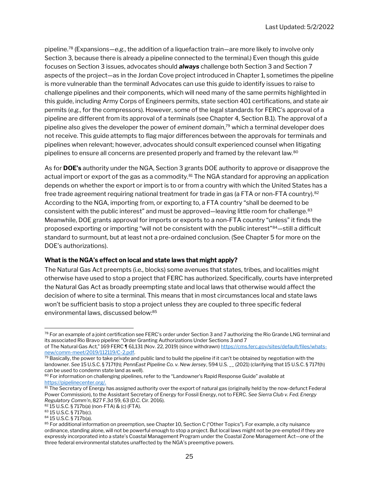pipeline.<sup>78</sup> (Expansions—e.g., the addition of a liquefaction train—are more likely to involve only Section 3, because there is already a pipeline connected to the terminal.) Even though this guide focuses on Section 3 issues, advocates should **always** challenge both Section 3 and Section 7 aspects of the project—as in the Jordan Cove project introduced in Chapter 1, sometimes the pipeline is more vulnerable than the terminal! Advocates can use this guide to identify issues to raise to challenge pipelines and their components, which will need many of the same permits highlighted in this guide, including Army Corps of Engineers permits, state section 401 certifications, and state air permits (e.g., for the compressors). However, some of the legal standards for FERC's approval of a pipeline are different from its approval of a terminals (see Chapter 4, Section B.1). The approval of a pipeline also gives the developer the power of eminent domain, <sup>79</sup> which a terminal developer does not receive. This guide attempts to flag major differences between the approvals for terminals and pipelines when relevant; however, advocates should consult experienced counsel when litigating pipelines to ensure all concerns are presented properly and framed by the relevant law.<sup>80</sup>

As for **DOE's** authority under the NGA, Section 3 grants DOE authority to approve or disapprove the actual import or export of the gas as a commodity.<sup>81</sup> The NGA standard for approving an application depends on whether the export or import is to or from a country with which the United States has a free trade agreement requiring national treatment for trade in gas (a FTA or non-FTA country).<sup>82</sup> According to the NGA, importing from, or exporting to, a FTA country "shall be deemed to be consistent with the public interest" and must be approved—leaving little room for challenge.<sup>83</sup> Meanwhile, DOE grants approval for imports or exports to a non-FTA country "unless" it finds the proposed exporting or importing "will not be consistent with the public interest"<sup>84</sup>-still a difficult standard to surmount, but at least not a pre-ordained conclusion. (See Chapter 5 for more on the DOE's authorizations).

#### What is the NGA's effect on local and state laws that might apply?

The Natural Gas Act preempts (i.e., blocks) some avenues that states, tribes, and localities might otherwise have used to stop a project that FERC has authorized. Specifically, courts have interpreted the Natural Gas Act as broadly preempting state and local laws that otherwise would affect the decision of where to site a terminal. This means that in most circumstances local and state laws won't be sufficient basis to stop a project unless they are coupled to three specific federal environmental laws, discussed below:<sup>85</sup>

<sup>&</sup>lt;sup>78</sup> For an example of a joint certification see FERC's order under Section 3 and 7 authorizing the Rio Grande LNG terminal and its associated Rio Bravo pipeline: "Order Granting Authorizations Under Sections 3 and 7

of The Natural Gas Act," 169 FERC 161,131 (Nov. 22, 2019) (since withdrawn) https://cms.ferc.gov/sites/default/files/whatsnew/comm-meet/2019/112119/C-2.pdf.

 $\frac{79}{2}$  Basically, the power to take private and public land to build the pipeline if it can't be obtained by negotiation with the landowner. See 15 U.S.C. § 717f(h); PennEast Pipeline Co. v. New Jersey, 594 U.S. \_\_ (2021) (clarifying that 15 U.S.C. § 717f(h) can be used to condemn state land as well).

<sup>&</sup>lt;sup>80</sup> For information on challenging pipelines, refer to the "Landowner's Rapid Response Guide" available at https://pipelinecenter.org/.

 $\frac{81}{81}$  The Secretary of Energy has assigned authority over the export of natural gas (originally held by the now-defunct Federal Power Commission), to the Assistant Secretary of Energy for Fossil Energy, not to FERC. See Sierra Club v. Fed. Energy Regulatory Comm'n, 827 F.3d 59, 63 (D.C. Cir. 2016).

<sup>82</sup> 15 U.S.C. § 717b(a) (non-FTA) & (c) (FTA).

<sup>83</sup> 15 U.S.C. § 717b(c).

<sup>84</sup> 15 U.S.C. § 717b(a).

<sup>&</sup>lt;sup>85</sup> For additional information on preemption, see Chapter 10, Section C ("Other Topics"). For example, a city nuisance ordinance, standing alone, will not be powerful enough to stop a project. But local laws might not be pre-empted if they are expressly incorporated into a state's Coastal Management Program under the Coastal Zone Management Act—one of the three federal environmental statutes unaffected by the NGA's preemptive powers.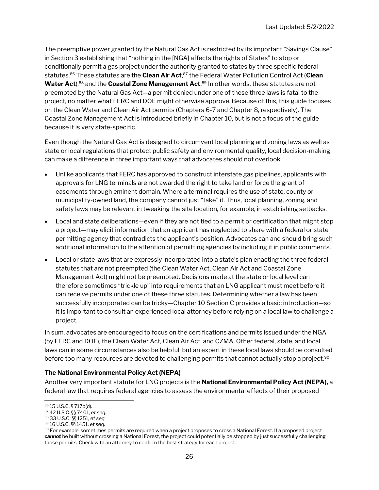The preemptive power granted by the Natural Gas Act is restricted by its important "Savings Clause" in Section 3 establishing that "nothing in the [NGA] affects the rights of States" to stop or conditionally permit a gas project under the authority granted to states by three specific federal statutes.<sup>86</sup> These statutes are the **Clean Air Act**,<sup>87</sup> the Federal Water Pollution Control Act (**Clean Water Act**),<sup>88</sup> and the **Coastal Zone Management Act**.<sup>89</sup> In other words, these statutes are not preempted by the Natural Gas Act—a permit denied under one of these three laws is fatal to the project, no matter what FERC and DOE might otherwise approve. Because of this, this guide focuses on the Clean Water and Clean Air Act permits (Chapters 6-7 and Chapter 8, respectively). The Coastal Zone Management Act is introduced briefly in Chapter 10, but is not a focus of the guide because it is very state-specific.

Even though the Natural Gas Act is designed to circumvent local planning and zoning laws as well as state or local regulations that protect public safety and environmental quality, local decision-making can make a difference in three important ways that advocates should not overlook:

- Unlike applicants that FERC has approved to construct interstate gas pipelines, applicants with approvals for LNG terminals are not awarded the right to take land or force the grant of easements through eminent domain. Where a terminal requires the use of state, county or municipality-owned land, the company cannot just "take" it. Thus, local planning, zoning, and safety laws may be relevant in tweaking the site location, for example, in establishing setbacks.
- Local and state deliberations—even if they are not tied to a permit or certification that might stop a project—may elicit information that an applicant has neglected to share with a federal or state permitting agency that contradicts the applicant's position. Advocates can and should bring such additional information to the attention of permitting agencies by including it in public comments.
- Local or state laws that are expressly incorporated into a state's plan enacting the three federal statutes that are not preempted (the Clean Water Act, Clean Air Act and Coastal Zone Management Act) might not be preempted. Decisions made at the state or local level can therefore sometimes "trickle up" into requirements that an LNG applicant must meet before it can receive permits under one of these three statutes. Determining whether a law has been successfully incorporated can be tricky—Chapter 10 Section C provides a basic introduction—so it is important to consult an experienced local attorney before relying on a local law to challenge a project.

In sum, advocates are encouraged to focus on the certifications and permits issued under the NGA (by FERC and DOE), the Clean Water Act, Clean Air Act, and CZMA. Other federal, state, and local laws can in some circumstances also be helpful, but an expert in these local laws should be consulted before too many resources are devoted to challenging permits that cannot actually stop a project.<sup>90</sup>

#### The National Environmental Policy Act (NEPA)

Another very important statute for LNG projects is the **National Environmental Policy Act (NEPA)**, a federal law that requires federal agencies to assess the environmental effects of their proposed

<sup>86</sup> 15 U.S.C. § 717b(d).

<sup>87</sup> 42 U.S.C. §§ 7401, et seq.

<sup>88</sup> 33 U.S.C. §§ 1251, et seq.

<sup>89</sup> 16 U.S.C. §§ 1451, et seq.

 $90$  For example, sometimes permits are required when a project proposes to cross a National Forest. If a proposed project cannot be built without crossing a National Forest, the project could potentially be stopped by just successfully challenging those permits. Check with an attorney to confirm the best strategy for each project.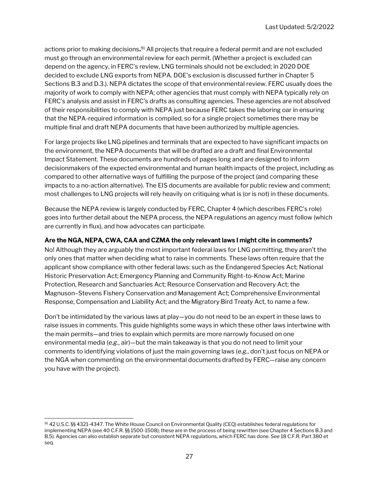actions prior to making decisions. <sup>91</sup> All projects that require a federal permit and are not excluded must go through an environmental review for each permit. (Whether a project is excluded can depend on the agency, in FERC's review, LNG terminals should not be excluded; in 2020 DOE decided to exclude LNG exports from NEPA. DOE's exclusion is discussed further in Chapter 5 Sections B.3 and D.3.). NEPA dictates the scope of that environmental review. FERC usually does the majority of work to comply with NEPA; other agencies that must comply with NEPA typically rely on FERC's analysis and assist in FERC's drafts as consulting agencies. These agencies are not absolved of their responsibilities to comply with NEPA just because FERC takes the laboring oar in ensuring that the NEPA-required information is compiled, so for a single project sometimes there may be multiple final and draft NEPA documents that have been authorized by multiple agencies.

For large projects like LNG pipelines and terminals that are expected to have significant impacts on the environment, the NEPA documents that will be drafted are a draft and final Environmental Impact Statement. These documents are hundreds of pages long and are designed to inform decisionmakers of the expected environmental and human health impacts of the project, including as compared to other alternative ways of fulfilling the purpose of the project (and comparing these impacts to a no-action alternative). The EIS documents are available for public review and comment; most challenges to LNG projects will rely heavily on critiquing what is (or is not) in these documents.

Because the NEPA review is largely conducted by FERC, Chapter 4 (which describes FERC's role) goes into further detail about the NEPA process, the NEPA regulations an agency must follow (which are currently in flux), and how advocates can participate.

#### Are the NGA, NEPA, CWA, CAA and CZMA the only relevant laws I might cite in comments?

No! Although they are arguably the most important federal laws for LNG permitting, they aren't the only ones that matter when deciding what to raise in comments. These laws often require that the applicant show compliance with other federal laws: such as the Endangered Species Act; National Historic Preservation Act; Emergency Planning and Community Right-to-Know Act; Marine Protection, Research and Sanctuaries Act; Resource Conservation and Recovery Act; the Magnuson–Stevens Fishery Conservation and Management Act; Comprehensive Environmental Response, Compensation and Liability Act; and the Migratory Bird Treaty Act, to name a few.

Don't be intimidated by the various laws at play—you do not need to be an expert in these laws to raise issues in comments. This guide highlights some ways in which these other laws intertwine with the main permits—and tries to explain which permits are more narrowly focused on one environmental media (e.g., air)—but the main takeaway is that you do not need to limit your comments to identifying violations of just the main governing laws (e.g., don't just focus on NEPA or the NGA when commenting on the environmental documents drafted by FERC—raise any concern you have with the project).

<sup>91 42</sup> U.S.C. §§ 4321-4347. The White House Council on Environmental Quality (CEQ) establishes federal regulations for implementing NEPA (see 40 C.F.R. §§ 1500-1508); these are in the process of being rewritten (see Chapter 4 Sections B.3 and B.5). Agencies can also establish separate but consistent NEPA regulations, which FERC has done. See 18 C.F.R. Part 380 et seq.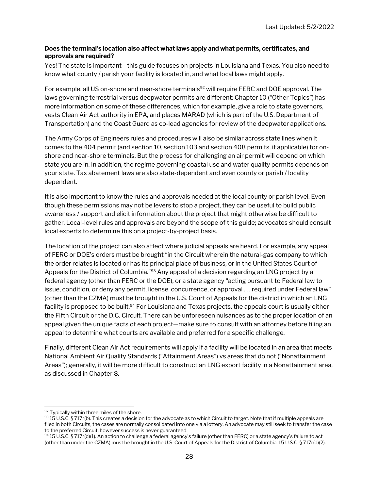#### Does the terminal's location also affect what laws apply and what permits, certificates, and approvals are required?

Yes! The state is important—this guide focuses on projects in Louisiana and Texas. You also need to know what county / parish your facility is located in, and what local laws might apply.

For example, all US on-shore and near-shore terminals<sup>92</sup> will require FERC and DOE approval. The laws governing terrestrial versus deepwater permits are different: Chapter 10 ("Other Topics") has more information on some of these differences, which for example, give a role to state governors, vests Clean Air Act authority in EPA, and places MARAD (which is part of the U.S. Department of Transportation) and the Coast Guard as co-lead agencies for review of the deepwater applications.

The Army Corps of Engineers rules and procedures will also be similar across state lines when it comes to the 404 permit (and section 10, section 103 and section 408 permits, if applicable) for onshore and near-shore terminals. But the process for challenging an air permit will depend on which state you are in. In addition, the regime governing coastal use and water quality permits depends on your state. Tax abatement laws are also state-dependent and even county or parish / locality dependent.

It is also important to know the rules and approvals needed at the local county or parish level. Even though these permissions may not be levers to stop a project, they can be useful to build public awareness / support and elicit information about the project that might otherwise be difficult to gather. Local-level rules and approvals are beyond the scope of this guide; advocates should consult local experts to determine this on a project-by-project basis.

The location of the project can also affect where judicial appeals are heard. For example, any appeal of FERC or DOE's orders must be brought "in the Circuit wherein the natural-gas company to which the order relates is located or has its principal place of business, or in the United States Court of Appeals for the District of Columbia."<sup>93</sup> Any appeal of a decision regarding an LNG project by a federal agency (other than FERC or the DOE), or a state agency "acting pursuant to Federal law to issue, condition, or deny any permit, license, concurrence, or approval . . . required under Federal law" (other than the CZMA) must be brought in the U.S. Court of Appeals for the district in which an LNG facility is proposed to be built.<sup>94</sup> For Louisiana and Texas projects, the appeals court is usually either the Fifth Circuit or the D.C. Circuit. There can be unforeseen nuisances as to the proper location of an appeal given the unique facts of each project—make sure to consult with an attorney before filing an appeal to determine what courts are available and preferred for a specific challenge.

Finally, different Clean Air Act requirements will apply if a facility will be located in an area that meets National Ambient Air Quality Standards ("Attainment Areas") vs areas that do not ("Nonattainment Areas"); generally, it will be more difficult to construct an LNG export facility in a Nonattainment area, as discussed in Chapter 8.

<sup>92</sup> Typically within three miles of the shore.

 $93$  15 U.S.C. § 717r(b). This creates a decision for the advocate as to which Circuit to target. Note that if multiple appeals are filed in both Circuits, the cases are normally consolidated into one via a lottery. An advocate may still seek to transfer the case to the preferred Circuit, however success is never guaranteed.

<sup>94 15</sup> U.S.C. § 717r(d)(1). An action to challenge a federal agency's failure (other than FERC) or a state agency's failure to act (other than under the CZMA) must be brought in the U.S. Court of Appeals for the District of Columbia. 15 U.S.C. § 717r(d)(2).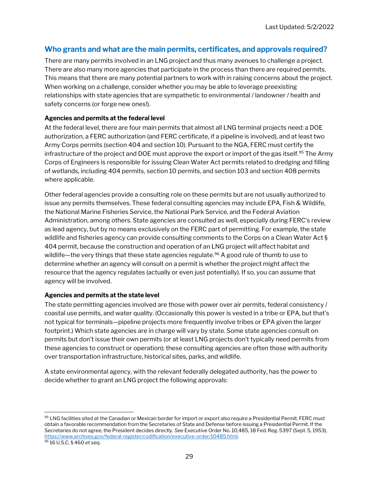#### Who grants and what are the main permits, certificates, and approvals required?

There are many permits involved in an LNG project and thus many avenues to challenge a project. There are also many more agencies that participate in the process than there are required permits. This means that there are many potential partners to work with in raising concerns about the project. When working on a challenge, consider whether you may be able to leverage preexisting relationships with state agencies that are sympathetic to environmental / landowner / health and safety concerns (or forge new ones!).

#### Agencies and permits at the federal level

At the federal level, there are four main permits that almost all LNG terminal projects need: a DOE authorization, a FERC authorization (and FERC certificate, if a pipeline is involved), and at least two Army Corps permits (section 404 and section 10). Pursuant to the NGA, FERC must certify the infrastructure of the project and DOE must approve the export or import of the gas itself.<sup>95</sup> The Army Corps of Engineers is responsible for issuing Clean Water Act permits related to dredging and filling of wetlands, including 404 permits, section 10 permits, and section 103 and section 408 permits where applicable.

Other federal agencies provide a consulting role on these permits but are not usually authorized to issue any permits themselves. These federal consulting agencies may include EPA, Fish & Wildlife, the National Marine Fisheries Service, the National Park Service, and the Federal Aviation Administration, among others. State agencies are consulted as well, especially during FERC's review as lead agency, but by no means exclusively on the FERC part of permitting. For example, the state wildlife and fisheries agency can provide consulting comments to the Corps on a Clean Water Act § 404 permit, because the construction and operation of an LNG project will affect habitat and wildlife—the very things that these state agencies regulate.<sup>96</sup> A good rule of thumb to use to determine whether an agency will consult on a permit is whether the project might affect the resource that the agency regulates (actually or even just potentially). If so, you can assume that agency will be involved.

#### Agencies and permits at the state level

The state permitting agencies involved are those with power over air permits, federal consistency / coastal use permits, and water quality. (Occasionally this power is vested in a tribe or EPA, but that's not typical for terminals—pipeline projects more frequently involve tribes or EPA given the larger footprint.) Which state agencies are in charge will vary by state. Some state agencies consult on permits but don't issue their own permits (or at least LNG projects don't typically need permits from these agencies to construct or operation); these consulting agencies are often those with authority over transportation infrastructure, historical sites, parks, and wildlife.

A state environmental agency, with the relevant federally delegated authority, has the power to decide whether to grant an LNG project the following approvals:

<sup>95</sup> LNG facilities sited at the Canadian or Mexican border for import or export also require a Presidential Permit. FERC must obtain a favorable recommendation from the Secretaries of State and Defense before issuing a Presidential Permit. If the Secretaries do not agree, the President decides directly. See Executive Order No. 10,485, 18 Fed. Reg. 5397 (Sept. 5, 1953), https://www.archives.gov/federal-register/codification/executive-order/10485.html.

<sup>96</sup> 16 U.S.C. § 460 et seq.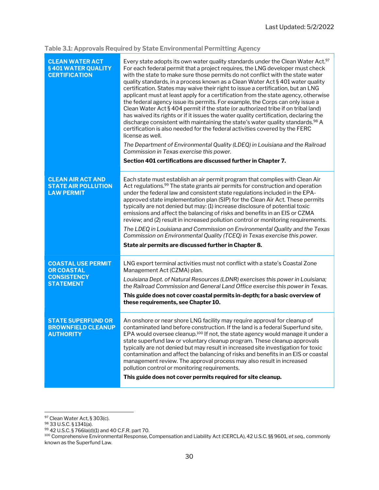Table 3.1: Approvals Required by State Environmental Permitting Agency

| <b>CLEAN WATER ACT</b><br>§401 WATER QUALITY<br><b>CERTIFICATION</b>        | Every state adopts its own water quality standards under the Clean Water Act. <sup>97</sup><br>For each federal permit that a project requires, the LNG developer must check<br>with the state to make sure those permits do not conflict with the state water<br>quality standards, in a process known as a Clean Water Act § 401 water quality<br>certification. States may waive their right to issue a certification, but an LNG<br>applicant must at least apply for a certification from the state agency, otherwise<br>the federal agency issue its permits. For example, the Corps can only issue a<br>Clean Water Act § 404 permit if the state (or authorized tribe if on tribal land)<br>has waived its rights or if it issues the water quality certification, declaring the<br>discharge consistent with maintaining the state's water quality standards. <sup>98</sup> A<br>certification is also needed for the federal activities covered by the FERC<br>license as well.<br>The Department of Environmental Quality (LDEQ) in Louisiana and the Railroad<br>Commission in Texas exercise this power. |
|-----------------------------------------------------------------------------|-----------------------------------------------------------------------------------------------------------------------------------------------------------------------------------------------------------------------------------------------------------------------------------------------------------------------------------------------------------------------------------------------------------------------------------------------------------------------------------------------------------------------------------------------------------------------------------------------------------------------------------------------------------------------------------------------------------------------------------------------------------------------------------------------------------------------------------------------------------------------------------------------------------------------------------------------------------------------------------------------------------------------------------------------------------------------------------------------------------------------|
|                                                                             | Section 401 certifications are discussed further in Chapter 7.                                                                                                                                                                                                                                                                                                                                                                                                                                                                                                                                                                                                                                                                                                                                                                                                                                                                                                                                                                                                                                                        |
| <b>CLEAN AIR ACT AND</b><br><b>STATE AIR POLLUTION</b><br><b>LAW PERMIT</b> | Each state must establish an air permit program that complies with Clean Air<br>Act regulations. <sup>99</sup> The state grants air permits for construction and operation<br>under the federal law and consistent state regulations included in the EPA-<br>approved state implementation plan (SIP) for the Clean Air Act. These permits<br>typically are not denied but may: (1) increase disclosure of potential toxic<br>emissions and affect the balancing of risks and benefits in an EIS or CZMA<br>review; and (2) result in increased pollution control or monitoring requirements.<br>The LDEQ in Louisiana and Commission on Environmental Quality and the Texas<br>Commission on Environmental Quality (TCEQ) in Texas exercise this power.<br>State air permits are discussed further in Chapter 8.                                                                                                                                                                                                                                                                                                     |
| <b>COASTAL USE PERMIT</b><br><b>OR COASTAL</b>                              | LNG export terminal activities must not conflict with a state's Coastal Zone<br>Management Act (CZMA) plan.                                                                                                                                                                                                                                                                                                                                                                                                                                                                                                                                                                                                                                                                                                                                                                                                                                                                                                                                                                                                           |
| <b>CONSISTENCY</b><br><b>STATEMENT</b>                                      | Louisiana Dept. of Natural Resources (LDNR) exercises this power in Louisiana;<br>the Railroad Commission and General Land Office exercise this power in Texas.                                                                                                                                                                                                                                                                                                                                                                                                                                                                                                                                                                                                                                                                                                                                                                                                                                                                                                                                                       |
|                                                                             | This guide does not cover coastal permits in-depth; for a basic overview of<br>these requirements, see Chapter 10.                                                                                                                                                                                                                                                                                                                                                                                                                                                                                                                                                                                                                                                                                                                                                                                                                                                                                                                                                                                                    |
| <b>STATE SUPERFUND OR</b><br><b>BROWNFIELD CLEANUP</b><br><b>AUTHORITY</b>  | An onshore or near shore LNG facility may require approval for cleanup of<br>contaminated land before construction. If the land is a federal Superfund site,<br>EPA would oversee cleanup. <sup>100</sup> If not, the state agency would manage it under a<br>state superfund law or voluntary cleanup program. These cleanup approvals<br>typically are not denied but may result in increased site investigation for toxic<br>contamination and affect the balancing of risks and benefits in an EIS or coastal<br>management review. The approval process may also result in increased<br>pollution control or monitoring requirements.<br>This guide does not cover permits required for site cleanup.                                                                                                                                                                                                                                                                                                                                                                                                            |

<sup>&</sup>lt;sup>97</sup> Clean Water Act, § 303(c).

<sup>98</sup> 33 U.S.C. § 1341(a).

<sup>99</sup> 42 U.S.C. § 766la(d)(1) and 40 C.F.R. part 70.

 $^{100}$  Comprehensive Environmental Response, Compensation and Liability Act (CERCLA), 42 U.S.C. §§ 9601, *et seq.,* commonly known as the Superfund Law.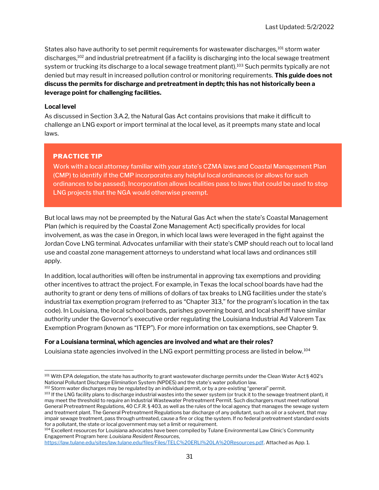States also have authority to set permit requirements for wastewater discharges,<sup>101</sup> storm water discharges,<sup>102</sup> and industrial pretreatment (if a facility is discharging into the local sewage treatment system or trucking its discharge to a local sewage treatment plant).<sup>103</sup> Such permits typically are not denied but may result in increased pollution control or monitoring requirements. This guide does not discuss the permits for discharge and pretreatment in depth; this has not historically been a leverage point for challenging facilities.

#### Local level

As discussed in Section 3.A.2, the Natural Gas Act contains provisions that make it difficult to challenge an LNG export or import terminal at the local level, as it preempts many state and local laws.

#### PRACTICE TIP

Work with a local attorney familiar with your state's CZMA laws and Coastal Management Plan (CMP) to identify if the CMP incorporates any helpful local ordinances (or allows for such ordinances to be passed). Incorporation allows localities pass to laws that could be used to stop LNG projects that the NGA would otherwise preempt.

But local laws may not be preempted by the Natural Gas Act when the state's Coastal Management Plan (which is required by the Coastal Zone Management Act) specifically provides for local involvement, as was the case in Oregon, in which local laws were leveraged in the fight against the Jordan Cove LNG terminal. Advocates unfamiliar with their state's CMP should reach out to local land use and coastal zone management attorneys to understand what local laws and ordinances still apply.

In addition, local authorities will often be instrumental in approving tax exemptions and providing other incentives to attract the project. For example, in Texas the local school boards have had the authority to grant or deny tens of millions of dollars of tax breaks to LNG facilities under the state's industrial tax exemption program (referred to as "Chapter 313," for the program's location in the tax code). In Louisiana, the local school boards, parishes governing board, and local sheriff have similar authority under the Governor's executive order regulating the Louisiana Industrial Ad Valorem Tax Exemption Program (known as "ITEP"). For more information on tax exemptions, see Chapter 9.

#### For a Louisiana terminal, which agencies are involved and what are their roles?

Louisiana state agencies involved in the LNG export permitting process are listed in below. <sup>104</sup>

102 Storm water discharges may be regulated by an individual permit, or by a pre-existing "general" permit.

<sup>&</sup>lt;sup>101</sup> With EPA delegation, the state has authority to grant wastewater discharge permits under the Clean Water Act § 402's National Pollutant Discharge Elimination System (NPDES) and the state's water pollution law.

<sup>103</sup> If the LNG facility plans to discharge industrial wastes into the sewer system (or truck it to the sewage treatment plant), it may meet the threshold to require an Industrial Wastewater Pretreatment Permit. Such dischargers must meet national General Pretreatment Regulations, 40 C.F.R. § 403, as well as the rules of the local agency that manages the sewage system and treatment plant. The General Pretreatment Regulations bar discharge of any pollutant, such as oil or a solvent, that may impair sewage treatment, pass through untreated, cause a fire or clog the system. If no federal pretreatment standard exists for a pollutant, the state or local government may set a limit or requirement.

<sup>&</sup>lt;sup>104</sup> Excellent resources for Louisiana advocates have been compiled by Tulane Environmental Law Clinic's Community Engagement Program here: Louisiana Resident Resources,

https://law.tulane.edu/sites/law.tulane.edu/files/Files/TELC%20ERLI%20LA%20Resources.pdf. Attached as App. 1.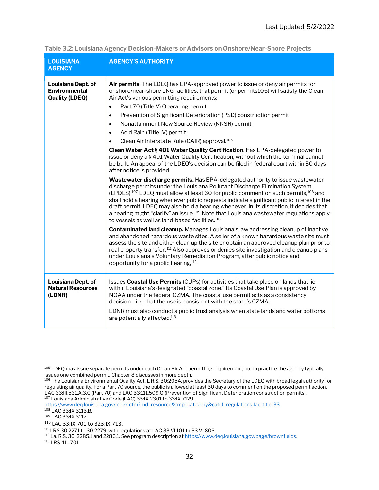| <b>LOUISIANA</b><br><b>AGENCY</b>                                   | <b>AGENCY'S AUTHORITY</b>                                                                                                                                                                                                                                                                                                                                                                                                                                                                                                                                                                                                                                                                                                                                                                                                                                                                                                                                                                                                                                                                                                                                                                                                                                                                                                                                                                                                                                                                                                                                                               |
|---------------------------------------------------------------------|-----------------------------------------------------------------------------------------------------------------------------------------------------------------------------------------------------------------------------------------------------------------------------------------------------------------------------------------------------------------------------------------------------------------------------------------------------------------------------------------------------------------------------------------------------------------------------------------------------------------------------------------------------------------------------------------------------------------------------------------------------------------------------------------------------------------------------------------------------------------------------------------------------------------------------------------------------------------------------------------------------------------------------------------------------------------------------------------------------------------------------------------------------------------------------------------------------------------------------------------------------------------------------------------------------------------------------------------------------------------------------------------------------------------------------------------------------------------------------------------------------------------------------------------------------------------------------------------|
| Louisiana Dept. of<br><b>Environmental</b><br><b>Quality (LDEQ)</b> | Air permits. The LDEQ has EPA-approved power to issue or deny air permits for<br>onshore/near-shore LNG facilities, that permit (or permits105) will satisfy the Clean<br>Air Act's various permitting requirements:<br>Part 70 (Title V) Operating permit<br>$\bullet$<br>Prevention of Significant Deterioration (PSD) construction permit<br>$\bullet$<br>Nonattainment New Source Review (NNSR) permit<br>$\bullet$<br>Acid Rain (Title IV) permit<br>$\bullet$<br>Clean Air Interstate Rule (CAIR) approval. <sup>106</sup><br>$\bullet$<br>Clean Water Act § 401 Water Quality Certification. Has EPA-delegated power to<br>issue or deny a § 401 Water Quality Certification, without which the terminal cannot<br>be built. An appeal of the LDEQ's decision can be filed in federal court within 30 days<br>after notice is provided.<br>Wastewater discharge permits. Has EPA-delegated authority to issue wastewater<br>discharge permits under the Louisiana Pollutant Discharge Elimination System<br>(LPDES). <sup>107</sup> LDEQ must allow at least 30 for public comment on such permits, <sup>108</sup> and<br>shall hold a hearing whenever public requests indicate significant public interest in the<br>draft permit. LDEQ may also hold a hearing whenever, in its discretion, it decides that<br>a hearing might "clarify" an issue. <sup>109</sup> Note that Louisiana wastewater regulations apply<br>to vessels as well as land-based facilities. <sup>110</sup><br><b>Contaminated land cleanup.</b> Manages Louisiana's law addressing cleanup of inactive |
|                                                                     | and abandoned hazardous waste sites. A seller of a known hazardous waste site must<br>assess the site and either clean up the site or obtain an approved cleanup plan prior to<br>real property transfer. <sup>111</sup> Also approves or denies site investigation and cleanup plans<br>under Louisiana's Voluntary Remediation Program, after public notice and<br>opportunity for a public hearing, <sup>112</sup>                                                                                                                                                                                                                                                                                                                                                                                                                                                                                                                                                                                                                                                                                                                                                                                                                                                                                                                                                                                                                                                                                                                                                                   |
| Louisiana Dept. of<br><b>Natural Resources</b><br>(LDNR)            | Issues Coastal Use Permits (CUPs) for activities that take place on lands that lie<br>within Louisiana's designated "coastal zone." Its Coastal Use Plan is approved by<br>NOAA under the federal CZMA. The coastal use permit acts as a consistency<br>decision-i.e., that the use is consistent with the state's CZMA.<br>LDNR must also conduct a public trust analysis when state lands and water bottoms                                                                                                                                                                                                                                                                                                                                                                                                                                                                                                                                                                                                                                                                                                                                                                                                                                                                                                                                                                                                                                                                                                                                                                           |
|                                                                     | are potentially affected. <sup>113</sup>                                                                                                                                                                                                                                                                                                                                                                                                                                                                                                                                                                                                                                                                                                                                                                                                                                                                                                                                                                                                                                                                                                                                                                                                                                                                                                                                                                                                                                                                                                                                                |

#### Table 3.2: Louisiana Agency Decision-Makers or Advisors on Onshore/Near-Shore Projects

<sup>&</sup>lt;sup>105</sup> LDEQ may issue separate permits under each Clean Air Act permitting requirement, but in practice the agency typically issues one combined permit. Chapter 8 discusses in more depth.

<sup>106</sup> The Louisiana Environmental Quality Act, L R.S. 30:2054, provides the Secretary of the LDEQ with broad legal authority for regulating air quality. For a Part 70 source, the public is allowed at least 30 days to comment on the proposed permit action. LAC 33:III.531.A.3.C (Part 70) and LAC 33:111.509.Q (Prevention of Significant Deterioration construction permits). <sup>107</sup> Louisiana Administrative Code (LAC) 33:IX.2301 to 33:IX.7129.

https://www.deq.louisiana.gov/index.cfm?md=resource&tmp=category&catid=regulations-lac-title-33

<sup>108</sup> LAC 33:IX.3113.B.

<sup>109</sup> LAC 33:IX.3117.

<sup>110</sup> LAC 33:IX.701 to 323:IX.713.

<sup>111</sup> LRS 30:2271 to 30:2279, with regulations at LAC 33:VI.101 to 33:VI.803.

<sup>&</sup>lt;sup>112</sup> La. R.S. 30: 2285.1 and 2286.1. See program description at https://www.deq.louisiana.gov/page/brownfields.

<sup>113</sup> LRS 41:1701.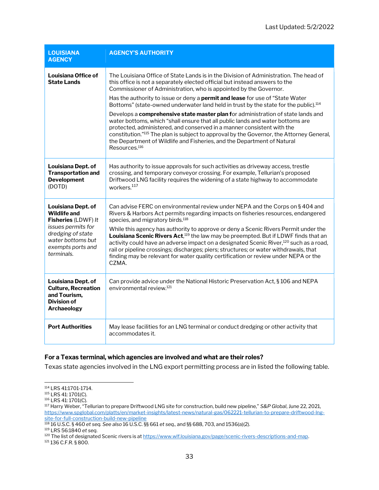| <b>LOUISIANA</b><br><b>AGENCY</b>                                                                                                                                          | <b>AGENCY'S AUTHORITY</b>                                                                                                                                                                                                                                                                                                                                                                                                                                                                                                                                                                                                                                                                                                                                                                                                                                                                                      |
|----------------------------------------------------------------------------------------------------------------------------------------------------------------------------|----------------------------------------------------------------------------------------------------------------------------------------------------------------------------------------------------------------------------------------------------------------------------------------------------------------------------------------------------------------------------------------------------------------------------------------------------------------------------------------------------------------------------------------------------------------------------------------------------------------------------------------------------------------------------------------------------------------------------------------------------------------------------------------------------------------------------------------------------------------------------------------------------------------|
| Louisiana Office of<br><b>State Lands</b>                                                                                                                                  | The Louisiana Office of State Lands is in the Division of Administration. The head of<br>this office is not a separately elected official but instead answers to the<br>Commissioner of Administration, who is appointed by the Governor.<br>Has the authority to issue or deny a <b>permit and lease</b> for use of "State Water"<br>Bottoms" (state-owned underwater land held in trust by the state for the public). <sup>114</sup><br>Develops a <b>comprehensive state master plan f</b> or administration of state lands and<br>water bottoms, which "shall ensure that all public lands and water bottoms are<br>protected, administered, and conserved in a manner consistent with the<br>constitution." <sup>115</sup> The plan is subject to approval by the Governor, the Attorney General,<br>the Department of Wildlife and Fisheries, and the Department of Natural<br>Resources. <sup>116</sup> |
| Louisiana Dept. of<br><b>Transportation and</b><br><b>Development</b><br>(DOTD)                                                                                            | Has authority to issue approvals for such activities as driveway access, trestle<br>crossing, and temporary conveyor crossing. For example, Tellurian's proposed<br>Driftwood LNG facility requires the widening of a state highway to accommodate<br>workers. <sup>117</sup>                                                                                                                                                                                                                                                                                                                                                                                                                                                                                                                                                                                                                                  |
| Louisiana Dept. of<br><b>Wildlife and</b><br><b>Fisheries (LDWF) It</b><br>issues permits for<br>dredging of state<br>water bottoms but<br>exempts ports and<br>terminals. | Can advise FERC on environmental review under NEPA and the Corps on §404 and<br>Rivers & Harbors Act permits regarding impacts on fisheries resources, endangered<br>species, and migratory birds. <sup>118</sup><br>While this agency has authority to approve or deny a Scenic Rivers Permit under the<br>Louisiana Scenic Rivers Act, <sup>119</sup> the law may be preempted. But if LDWF finds that an<br>activity could have an adverse impact on a designated Scenic River, <sup>120</sup> such as a road,<br>rail or pipeline crossings; discharges; piers; structures; or water withdrawals, that<br>finding may be relevant for water quality certification or review under NEPA or the<br>CZMA.                                                                                                                                                                                                     |
| Louisiana Dept. of<br><b>Culture, Recreation</b><br>and Tourism.<br>Division of<br><b>Archaeology</b>                                                                      | Can provide advice under the National Historic Preservation Act, § 106 and NEPA<br>environmental review. <sup>121</sup>                                                                                                                                                                                                                                                                                                                                                                                                                                                                                                                                                                                                                                                                                                                                                                                        |
| <b>Port Authorities</b>                                                                                                                                                    | May lease facilities for an LNG terminal or conduct dredging or other activity that<br>accommodates it.                                                                                                                                                                                                                                                                                                                                                                                                                                                                                                                                                                                                                                                                                                                                                                                                        |

#### For a Texas terminal, which agencies are involved and what are their roles?

Texas state agencies involved in the LNG export permitting process are in listed the following table.

<sup>114</sup> LRS 41:1701-1714.

<sup>115</sup> LRS 41: 1701(C).

<sup>116</sup> LRS 41: 1701(C).

<sup>&</sup>lt;sup>117</sup> Harry Weber, "Tellurian to prepare Driftwood LNG site for construction, build new pipeline," S&P Global, June 22, 2021, https://www.spglobal.com/platts/en/market-insights/latest-news/natural-gas/062221-tellurian-to-prepare-driftwood-lngsite-for-full-construction-build-new-pipeline

 $^{118}$  16 U.S.C. § 460 et seq. See also 16 U.S.C. §§ 661 et seq., and §§ 688, 703, and 1536(a)(2).

<sup>119</sup> LRS 56:1840 et seq.

<sup>120</sup> The list of designated Scenic rivers is at https://www.wlf.louisiana.gov/page/scenic-rivers-descriptions-and-map.

<sup>121</sup> 136 C.F.R. § 800.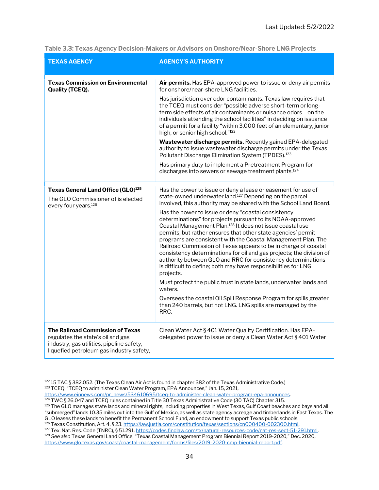| <b>TEXAS AGENCY</b>                                                                                                                                            | <b>AGENCY'S AUTHORITY</b>                                                                                                                                                                                                                                                                                                                                                                                                                                                                                                                                                                                                                                                                                                                                                                                                                                                                                                                                                                                                                                           |
|----------------------------------------------------------------------------------------------------------------------------------------------------------------|---------------------------------------------------------------------------------------------------------------------------------------------------------------------------------------------------------------------------------------------------------------------------------------------------------------------------------------------------------------------------------------------------------------------------------------------------------------------------------------------------------------------------------------------------------------------------------------------------------------------------------------------------------------------------------------------------------------------------------------------------------------------------------------------------------------------------------------------------------------------------------------------------------------------------------------------------------------------------------------------------------------------------------------------------------------------|
| <b>Texas Commission on Environmental</b><br><b>Quality (TCEQ).</b>                                                                                             | <b>Air permits.</b> Has EPA-approved power to issue or deny air permits<br>for onshore/near-shore LNG facilities.<br>Has jurisdiction over odor contaminants. Texas law requires that<br>the TCEQ must consider "possible adverse short-term or long-<br>term side effects of air contaminants or nuisance odors on the<br>individuals attending the school facilities" in deciding on issuance<br>of a permit for a facility "within 3,000 feet of an elementary, junior<br>high, or senior high school."122<br>Wastewater discharge permits. Recently gained EPA-delegated<br>authority to issue wastewater discharge permits under the Texas<br>Pollutant Discharge Elimination System (TPDES). <sup>123</sup><br>Has primary duty to implement a Pretreatment Program for<br>discharges into sewers or sewage treatment plants. <sup>124</sup>                                                                                                                                                                                                                  |
| Texas General Land Office (GLO) <sup>125</sup><br>The GLO Commissioner of is elected<br>every four years. <sup>126</sup>                                       | Has the power to issue or deny a lease or easement for use of<br>state-owned underwater land. <sup>127</sup> Depending on the parcel<br>involved, this authority may be shared with the School Land Board.<br>Has the power to issue or deny "coastal consistency<br>determinations" for projects pursuant to its NOAA-approved<br>Coastal Management Plan. <sup>128</sup> It does not issue coastal use<br>permits, but rather ensures that other state agencies' permit<br>programs are consistent with the Coastal Management Plan. The<br>Railroad Commission of Texas appears to be in charge of coastal<br>consistency determinations for oil and gas projects; the division of<br>authority between GLO and RRC for consistency determinations<br>is difficult to define; both may have responsibilities for LNG<br>projects.<br>Must protect the public trust in state lands, underwater lands and<br>waters.<br>Oversees the coastal Oil Spill Response Program for spills greater<br>than 240 barrels, but not LNG. LNG spills are managed by the<br>RRC. |
| The Railroad Commission of Texas<br>regulates the state's oil and gas<br>industry, gas utilities, pipeline safety,<br>liquefied petroleum gas industry safety, | Clean Water Act § 401 Water Quality Certification. Has EPA-<br>delegated power to issue or deny a Clean Water Act § 401 Water                                                                                                                                                                                                                                                                                                                                                                                                                                                                                                                                                                                                                                                                                                                                                                                                                                                                                                                                       |

Table 3.3: Texas Agency Decision-Makers or Advisors on Onshore/Near-Shore LNG Projects

<sup>122 15</sup> TAC § 382.052. (The Texas Clean Air Act is found in chapter 382 of the Texas Administrative Code.) 123 TCEQ, "TCEQ to administer Clean Water Program, EPA Announces," Jan. 15, 2021,

https://www.einnews.com/pr\_news/534610695/tceq-to-administer-clean-water-program-epa-announces.

<sup>124</sup> TWC § 26.047 and TCEQ rules contained in Title 30 Texas Administrative Code (30 TAC) Chapter 315.

<sup>&</sup>lt;sup>125</sup> The GLO manages state lands and mineral rights, including properties in West Texas, Gulf Coast beaches and bays and all "submerged" lands 10.35 miles out into the Gulf of Mexico, as well as state agency acreage and timberlands in East Texas. The GLO leases these lands to benefit the Permanent School Fund, an endowment to support Texas public schools.

<sup>126</sup> Texas Constitution, Art. 4, § 23. https://law.justia.com/constitution/texas/sections/cn000400-002300.html.

<sup>127</sup> Tex. Nat. Res. Code (TNRC), § 51.291. https://codes.findlaw.com/tx/natural-resources-code/nat-res-sect-51-291.html. <sup>128</sup> See also Texas General Land Office, "Texas Coastal Management Program Biennial Report 2019-2020," Dec. 2020, https://www.glo.texas.gov/coast/coastal-management/forms/files/2019-2020-cmp-biennial-report.pdf.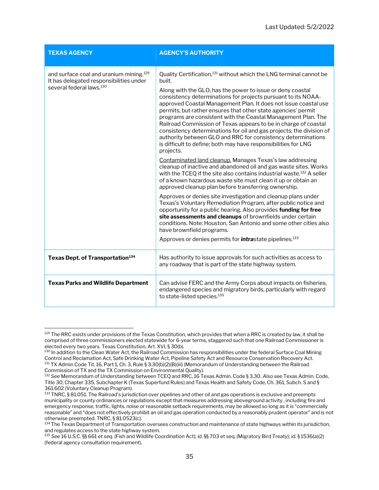| <b>TEXAS AGENCY</b>                                                                                                                    | <b>AGENCY'S AUTHORITY</b>                                                                                                                                                                                                                                                                                                                                                                                                                                                                                                                                                                                                                                                                                              |
|----------------------------------------------------------------------------------------------------------------------------------------|------------------------------------------------------------------------------------------------------------------------------------------------------------------------------------------------------------------------------------------------------------------------------------------------------------------------------------------------------------------------------------------------------------------------------------------------------------------------------------------------------------------------------------------------------------------------------------------------------------------------------------------------------------------------------------------------------------------------|
| and surface coal and uranium mining. <sup>129</sup><br>It has delegated responsibilities under<br>several federal laws. <sup>130</sup> | Quality Certification, <sup>131</sup> without which the LNG terminal cannot be<br>built.<br>Along with the GLO, has the power to issue or deny coastal<br>consistency determinations for projects pursuant to its NOAA-<br>approved Coastal Management Plan. It does not issue coastal use<br>permits, but rather ensures that other state agencies' permit<br>programs are consistent with the Coastal Management Plan. The<br>Railroad Commission of Texas appears to be in charge of coastal<br>consistency determinations for oil and gas projects; the division of<br>authority between GLO and RRC for consistency determinations<br>is difficult to define; both may have responsibilities for LNG<br>projects. |
|                                                                                                                                        | Contaminated land cleanup. Manages Texas's law addressing<br>cleanup of inactive and abandoned oil and gas waste sites. Works<br>with the TCEQ if the site also contains industrial waste. <sup>132</sup> A seller<br>of a known hazardous waste site must clean it up or obtain an<br>approved cleanup plan before transferring ownership.                                                                                                                                                                                                                                                                                                                                                                            |
|                                                                                                                                        | Approves or denies site investigation and cleanup plans under<br>Texas's Voluntary Remediation Program, after public notice and<br>opportunity for a public hearing. Also provides funding for free<br>site assessments and cleanups of brownfields under certain<br>conditions. Note: Houston, San Antonio and some other cities also<br>have brownfield programs.<br>Approves or denies permits for <i>intrastate</i> pipelines. <sup>133</sup>                                                                                                                                                                                                                                                                      |
| Texas Dept. of Transportation <sup>134</sup>                                                                                           | Has authority to issue approvals for such activities as access to<br>any roadway that is part of the state highway system.                                                                                                                                                                                                                                                                                                                                                                                                                                                                                                                                                                                             |
| <b>Texas Parks and Wildlife Department</b>                                                                                             | Can advise FERC and the Army Corps about impacts on fisheries,<br>endangered species and migratory birds, particularly with regard<br>to state-listed species. <sup>135</sup>                                                                                                                                                                                                                                                                                                                                                                                                                                                                                                                                          |

<sup>&</sup>lt;sup>129</sup> The RRC exists under provisions of the Texas Constitution, which provides that when a RRC is created by law, it shall be comprised of three commissioners elected statewide for 6-year terms, staggered such that one Railroad Commissioner is elected every two years. Texas Constitution, Art. XVI, § 30(b).

<sup>&</sup>lt;sup>130</sup> In addition to the Clean Water Act, the Railroad Commission has responsibilities under the federal Surface Coal Mining Control and Reclamation Act, Safe Drinking Water Act, Pipeline Safety Act and Resource Conservation Recovery Act. <sup>131</sup> TX Admin Code Tit. 16, Part 1, Ch. 3, Rule § 3:30(b)(2)(B)(iii) (Memorandum of Understanding between the Railroad Commission of TX and the TX Commission on Environmental Quality).

<sup>132</sup> See Memorandum of Understanding between TCEQ and RRC, 16 Texas Admin. Code § 3.30. Also see Texas Admin. Code, Title 30, Chapter 335, Subchapter K (Texas Superfund Rules) and Texas Health and Safety Code, Ch. 361, Subch. S and § 361.602 (Voluntary Cleanup Program).

<sup>133</sup> TNRC, § 81.051. The Railroad's jurisdiction over pipelines and other oil and gas operations is exclusive and preempts municipality or county ordinances or regulations except that measures addressing aboveground activity , including fire and emergency response, traffic, lights, noise or reasonable setback requirements, may be allowed so long as it is "commercially reasonable" and "does not effectively prohibit an oil and gas operation conducted by a reasonably prudent operator" and is not otherwise preempted. TNRC, § 81.0523(c).

<sup>&</sup>lt;sup>134</sup> The Texas Department of Transportation oversees construction and maintenance of state highways within its jurisdiction, and regulates access to the state highway system.

<sup>135</sup> See 16 U.S.C. §§ 661 et seq. (Fish and Wildlife Coordination Act); id. §§ 703 et seq. (Migratory Bird Treaty); id. § 1536(a)(2) (federal agency consultation requirement).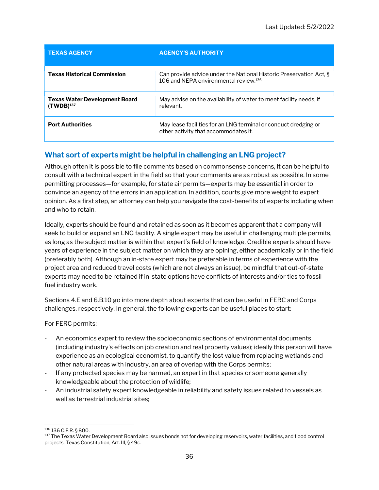| <b>TEXAS AGENCY</b>                                    | <b>AGENCY'S AUTHORITY</b>                                                                                               |
|--------------------------------------------------------|-------------------------------------------------------------------------------------------------------------------------|
| <b>Texas Historical Commission</b>                     | Can provide advice under the National Historic Preservation Act, §<br>106 and NEPA environmental review. <sup>136</sup> |
| <b>Texas Water Development Board</b><br>$(TWDB)^{137}$ | May advise on the availability of water to meet facility needs, if<br>relevant.                                         |
| <b>Port Authorities</b>                                | May lease facilities for an LNG terminal or conduct dredging or<br>other activity that accommodates it.                 |

#### What sort of experts might be helpful in challenging an LNG project?

Although often it is possible to file comments based on commonsense concerns, it can be helpful to consult with a technical expert in the field so that your comments are as robust as possible. In some permitting processes—for example, for state air permits—experts may be essential in order to convince an agency of the errors in an application. In addition, courts give more weight to expert opinion. As a first step, an attorney can help you navigate the cost-benefits of experts including when and who to retain.

Ideally, experts should be found and retained as soon as it becomes apparent that a company will seek to build or expand an LNG facility. A single expert may be useful in challenging multiple permits, as long as the subject matter is within that expert's field of knowledge. Credible experts should have years of experience in the subject matter on which they are opining, either academically or in the field (preferably both). Although an in-state expert may be preferable in terms of experience with the project area and reduced travel costs (which are not always an issue), be mindful that out-of-state experts may need to be retained if in-state options have conflicts of interests and/or ties to fossil fuel industry work.

Sections 4.E and 6.B.10 go into more depth about experts that can be useful in FERC and Corps challenges, respectively. In general, the following experts can be useful places to start:

For FERC permits:

- An economics expert to review the socioeconomic sections of environmental documents (including industry's effects on job creation and real property values); ideally this person will have experience as an ecological economist, to quantify the lost value from replacing wetlands and other natural areas with industry, an area of overlap with the Corps permits;
- If any protected species may be harmed, an expert in that species or someone generally knowledgeable about the protection of wildlife;
- An industrial safety expert knowledgeable in reliability and safety issues related to vessels as well as terrestrial industrial sites;

<sup>136</sup> 136 C.F.R. § 800.

<sup>&</sup>lt;sup>137</sup> The Texas Water Development Board also issues bonds not for developing reservoirs, water facilities, and flood control projects. Texas Constitution, Art. III, § 49c.